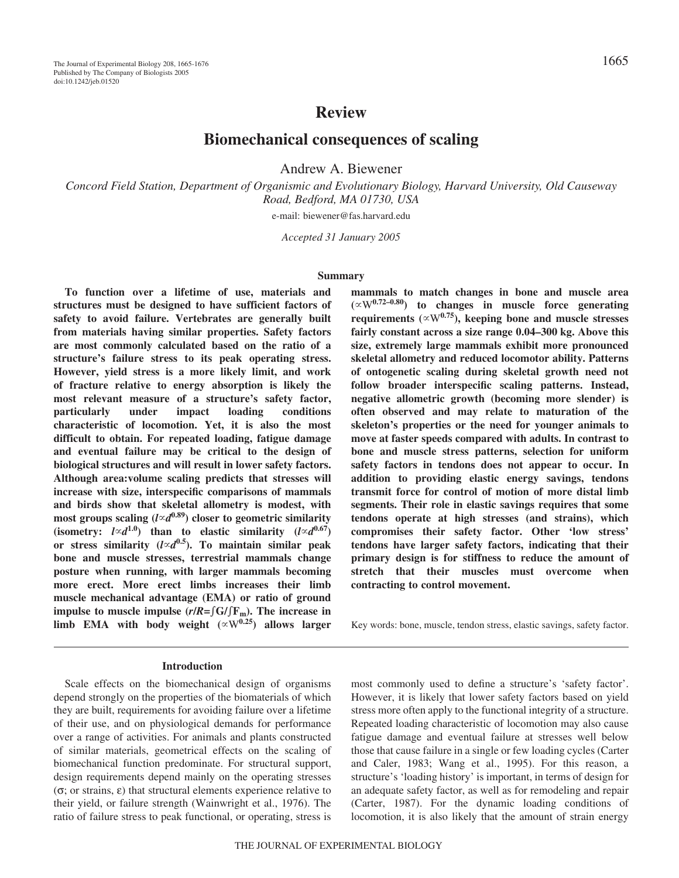# **Review**

**Biomechanical consequences of scaling**

Andrew A. Biewener

*Concord Field Station, Department of Organismic and Evolutionary Biology, Harvard University, Old Causeway Road, Bedford, MA 01730, USA*

e-mail: biewener@fas.harvard.edu

*Accepted 31 January 2005*

### **Summary**

**To function over a lifetime of use, materials and structures must be designed to have sufficient factors of safety to avoid failure. Vertebrates are generally built from materials having similar properties. Safety factors are most commonly calculated based on the ratio of a structure's failure stress to its peak operating stress. However, yield stress is a more likely limit, and work of fracture relative to energy absorption is likely the most relevant measure of a structure's safety factor, particularly under impact loading conditions characteristic of locomotion. Yet, it is also the most difficult to obtain. For repeated loading, fatigue damage and eventual failure may be critical to the design of biological structures and will result in lower safety factors. Although area:volume scaling predicts that stresses will increase with size, interspecific comparisons of mammals and birds show that skeletal allometry is modest, with most groups scaling (***ld***0.89) closer to geometric similarity (isometry:**  $l \propto d^{1.0}$ ) than to elastic similarity  $(l \propto d^{0.67})$ or stress similarity  $(l \propto d^{0.5})$ . To maintain similar peak **bone and muscle stresses, terrestrial mammals change posture when running, with larger mammals becoming more erect. More erect limbs increases their limb muscle mechanical advantage (EMA) or ratio of ground impulse to muscle impulse**  $(r/R = \frac{\epsilon}{F_m})$ **. The increase in**  $limb$  **EMA** with body weight  $(\propto W^{0.25})$  allows larger

#### **Introduction**

Scale effects on the biomechanical design of organisms depend strongly on the properties of the biomaterials of which they are built, requirements for avoiding failure over a lifetime of their use, and on physiological demands for performance over a range of activities. For animals and plants constructed of similar materials, geometrical effects on the scaling of biomechanical function predominate. For structural support, design requirements depend mainly on the operating stresses (σ; or strains, ε) that structural elements experience relative to their yield, or failure strength (Wainwright et al., 1976). The ratio of failure stress to peak functional, or operating, stress is

**mammals to match changes in bone and muscle area (**W**0.72–0.80) to changes in muscle force generating** requirements ( $\propto$ W<sup>0.75</sup>), keeping bone and muscle stresses fairly constant across a size range  $0.04-300$  kg. Above this **size, extremely large mammals exhibit more pronounced skeletal allometry and reduced locomotor ability. Patterns of ontogenetic scaling during skeletal growth need not follow broader interspecific scaling patterns. Instead, negative allometric growth (becoming more slender) is often observed and may relate to maturation of the skeleton's properties or the need for younger animals to move at faster speeds compared with adults. In contrast to bone and muscle stress patterns, selection for uniform safety factors in tendons does not appear to occur. In addition to providing elastic energy savings, tendons transmit force for control of motion of more distal limb segments. Their role in elastic savings requires that some tendons operate at high stresses (and strains), which compromises their safety factor. Other 'low stress' tendons have larger safety factors, indicating that their primary design is for stiffness to reduce the amount of stretch that their muscles must overcome when contracting to control movement.**

Key words: bone, muscle, tendon stress, elastic savings, safety factor.

most commonly used to define a structure's 'safety factor'. However, it is likely that lower safety factors based on yield stress more often apply to the functional integrity of a structure. Repeated loading characteristic of locomotion may also cause fatigue damage and eventual failure at stresses well below those that cause failure in a single or few loading cycles (Carter and Caler, 1983; Wang et al., 1995). For this reason, a structure's 'loading history' is important, in terms of design for an adequate safety factor, as well as for remodeling and repair (Carter, 1987). For the dynamic loading conditions of locomotion, it is also likely that the amount of strain energy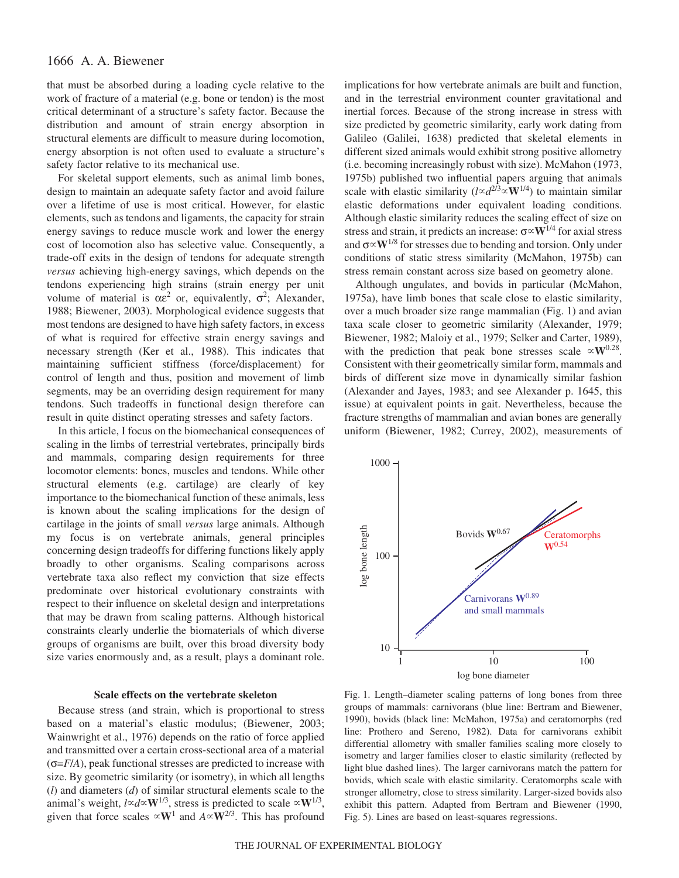## 1666 A. A. Biewener

that must be absorbed during a loading cycle relative to the work of fracture of a material (e.g. bone or tendon) is the most critical determinant of a structure's safety factor. Because the distribution and amount of strain energy absorption in structural elements are difficult to measure during locomotion, energy absorption is not often used to evaluate a structure's safety factor relative to its mechanical use.

For skeletal support elements, such as animal limb bones, design to maintain an adequate safety factor and avoid failure over a lifetime of use is most critical. However, for elastic elements, such as tendons and ligaments, the capacity for strain energy savings to reduce muscle work and lower the energy cost of locomotion also has selective value. Consequently, a trade-off exits in the design of tendons for adequate strength *versus* achieving high-energy savings, which depends on the tendons experiencing high strains (strain energy per unit volume of material is  $\alpha \varepsilon^2$  or, equivalently,  $\sigma^2$ ; Alexander, 1988; Biewener, 2003). Morphological evidence suggests that most tendons are designed to have high safety factors, in excess of what is required for effective strain energy savings and necessary strength (Ker et al., 1988). This indicates that maintaining sufficient stiffness (force/displacement) for control of length and thus, position and movement of limb segments, may be an overriding design requirement for many tendons. Such tradeoffs in functional design therefore can result in quite distinct operating stresses and safety factors.

In this article, I focus on the biomechanical consequences of scaling in the limbs of terrestrial vertebrates, principally birds and mammals, comparing design requirements for three locomotor elements: bones, muscles and tendons. While other structural elements (e.g. cartilage) are clearly of key importance to the biomechanical function of these animals, less is known about the scaling implications for the design of cartilage in the joints of small *versus* large animals. Although my focus is on vertebrate animals, general principles concerning design tradeoffs for differing functions likely apply broadly to other organisms. Scaling comparisons across vertebrate taxa also reflect my conviction that size effects predominate over historical evolutionary constraints with respect to their influence on skeletal design and interpretations that may be drawn from scaling patterns. Although historical constraints clearly underlie the biomaterials of which diverse groups of organisms are built, over this broad diversity body size varies enormously and, as a result, plays a dominant role.

### **Scale effects on the vertebrate skeleton**

Because stress (and strain, which is proportional to stress based on a material's elastic modulus; (Biewener, 2003; Wainwright et al., 1976) depends on the ratio of force applied and transmitted over a certain cross-sectional area of a material  $(\sigma = F/A)$ , peak functional stresses are predicted to increase with size. By geometric similarity (or isometry), in which all lengths (*l*) and diameters (*d*) of similar structural elements scale to the animal's weight,  $l \propto d \propto W^{1/3}$ , stress is predicted to scale  $\propto W^{1/3}$ , given that force scales  $\propto$ **W**<sup>1</sup> and  $A \propto$ **W**<sup>2/3</sup>. This has profound

implications for how vertebrate animals are built and function, and in the terrestrial environment counter gravitational and inertial forces. Because of the strong increase in stress with size predicted by geometric similarity, early work dating from Galileo (Galilei, 1638) predicted that skeletal elements in different sized animals would exhibit strong positive allometry (i.e. becoming increasingly robust with size). McMahon (1973, 1975b) published two influential papers arguing that animals scale with elastic similarity ( $l \propto d^{2/3} \propto W^{1/4}$ ) to maintain similar elastic deformations under equivalent loading conditions. Although elastic similarity reduces the scaling effect of size on stress and strain, it predicts an increase: σ**W**1/4 for axial stress and  $\sigma \propto W^{1/8}$  for stresses due to bending and torsion. Only under conditions of static stress similarity (McMahon, 1975b) can stress remain constant across size based on geometry alone.

Although ungulates, and bovids in particular (McMahon, 1975a), have limb bones that scale close to elastic similarity, over a much broader size range mammalian (Fig. 1) and avian taxa scale closer to geometric similarity (Alexander, 1979; Biewener, 1982; Maloiy et al., 1979; Selker and Carter, 1989), with the prediction that peak bone stresses scale  $\propto$ **W**<sup>0.28</sup>. Consistent with their geometrically similar form, mammals and birds of different size move in dynamically similar fashion (Alexander and Jayes, 1983; and see Alexander p. 1645, this issue) at equivalent points in gait. Nevertheless, because the fracture strengths of mammalian and avian bones are generally uniform (Biewener, 1982; Currey, 2002), measurements of



Fig. 1. Length–diameter scaling patterns of long bones from three groups of mammals: carnivorans (blue line: Bertram and Biewener, 1990), bovids (black line: McMahon, 1975a) and ceratomorphs (red line: Prothero and Sereno, 1982). Data for carnivorans exhibit differential allometry with smaller families scaling more closely to isometry and larger families closer to elastic similarity (reflected by light blue dashed lines). The larger carnivorans match the pattern for bovids, which scale with elastic similarity. Ceratomorphs scale with stronger allometry, close to stress similarity. Larger-sized bovids also exhibit this pattern. Adapted from Bertram and Biewener (1990, Fig. 5). Lines are based on least-squares regressions.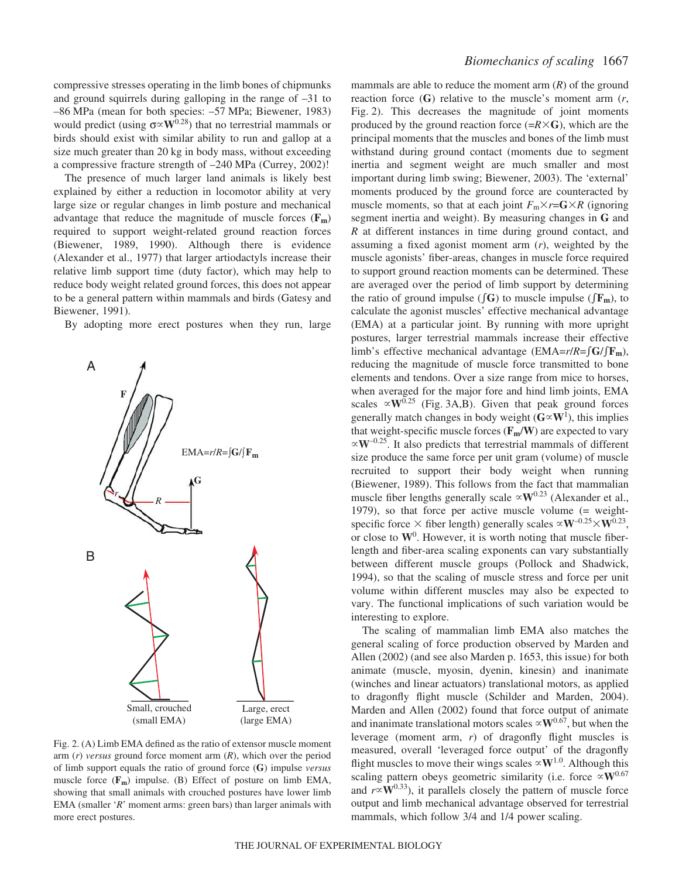compressive stresses operating in the limb bones of chipmunks and ground squirrels during galloping in the range of –31 to –86·MPa (mean for both species: –57·MPa; Biewener, 1983) would predict (using  $\sigma \propto W^{0.28}$ ) that no terrestrial mammals or birds should exist with similar ability to run and gallop at a size much greater than 20 kg in body mass, without exceeding a compressive fracture strength of  $-240$  MPa (Currey, 2002)!

The presence of much larger land animals is likely best explained by either a reduction in locomotor ability at very large size or regular changes in limb posture and mechanical advantage that reduce the magnitude of muscle forces (**Fm**) required to support weight-related ground reaction forces (Biewener, 1989, 1990). Although there is evidence (Alexander et al., 1977) that larger artiodactyls increase their relative limb support time (duty factor), which may help to reduce body weight related ground forces, this does not appear to be a general pattern within mammals and birds (Gatesy and Biewener, 1991).

By adopting more erect postures when they run, large



Fig.  $2. (A)$  Limb EMA defined as the ratio of extensor muscle moment arm (*r*) *versus* ground force moment arm (*R*), which over the period of limb support equals the ratio of ground force (**G**) impulse *versus* muscle force ( $\mathbf{F}_{\mathbf{m}}$ ) impulse. (B) Effect of posture on limb EMA, showing that small animals with crouched postures have lower limb EMA (smaller '*R*' moment arms: green bars) than larger animals with more erect postures.

mammals are able to reduce the moment arm (*R*) of the ground reaction force (**G**) relative to the muscle's moment arm (*r*, Fig. 2). This decreases the magnitude of joint moments produced by the ground reaction force  $(=\mathbb{R}\times\mathbb{G})$ , which are the principal moments that the muscles and bones of the limb must withstand during ground contact (moments due to segment inertia and segment weight are much smaller and most important during limb swing; Biewener, 2003). The 'external' moments produced by the ground force are counteracted by muscle moments, so that at each joint  $F_m \times r = G \times R$  (ignoring segment inertia and weight). By measuring changes in **G** and *R* at different instances in time during ground contact, and assuming a fixed agonist moment arm (*r*), weighted by the muscle agonists' fiber-areas, changes in muscle force required to support ground reaction moments can be determined. These are averaged over the period of limb support by determining the ratio of ground impulse ( $\int \mathbf{G}$ ) to muscle impulse ( $\int \mathbf{F_m}$ ), to calculate the agonist muscles' effective mechanical advantage (EMA) at a particular joint. By running with more upright postures, larger terrestrial mammals increase their effective limb's effective mechanical advantage (EMA= $r/R = \int G / \int F_m$ ), reducing the magnitude of muscle force transmitted to bone elements and tendons. Over a size range from mice to horses, when averaged for the major fore and hind limb joints, EMA scales  $\propto$ **W**<sup>0.25</sup> (Fig. 3A,B). Given that peak ground forces generally match changes in body weight  $(G \propto W^1)$ , this implies that weight-specific muscle forces  $(\mathbf{F_m/W})$  are expected to vary  $\propto$ **W**<sup>-0.25</sup>. It also predicts that terrestrial mammals of different size produce the same force per unit gram (volume) of muscle recruited to support their body weight when running (Biewener, 1989). This follows from the fact that mammalian muscle fiber lengths generally scale  $\propto$ **W**<sup>0.23</sup> (Alexander et al., 1979), so that force per active muscle volume (= weightspecific force  $\times$  fiber length) generally scales  $\propto$  **W**<sup>-0.25</sup> $\times$  **W**<sup>0.23</sup>, or close to  $W^0$ . However, it is worth noting that muscle fiberlength and fiber-area scaling exponents can vary substantially between different muscle groups (Pollock and Shadwick, 1994), so that the scaling of muscle stress and force per unit volume within different muscles may also be expected to vary. The functional implications of such variation would be interesting to explore.

The scaling of mammalian limb EMA also matches the general scaling of force production observed by Marden and Allen (2002) (and see also Marden p. 1653, this issue) for both animate (muscle, myosin, dyenin, kinesin) and inanimate (winches and linear actuators) translational motors, as applied to dragonfly flight muscle (Schilder and Marden, 2004). Marden and Allen (2002) found that force output of animate and inanimate translational motors scales  $\propto$ **W**<sup>0.67</sup>, but when the leverage (moment arm, *r*) of dragonfly flight muscles is measured, overall 'leveraged force output' of the dragonfly flight muscles to move their wings scales  $\propto$ **W**<sup>1.0</sup>. Although this scaling pattern obeys geometric similarity (i.e. force  $\propto$ **W**<sup>0.67</sup> and  $r \propto W^{0.33}$ ), it parallels closely the pattern of muscle force output and limb mechanical advantage observed for terrestrial mammals, which follow 3/4 and 1/4 power scaling.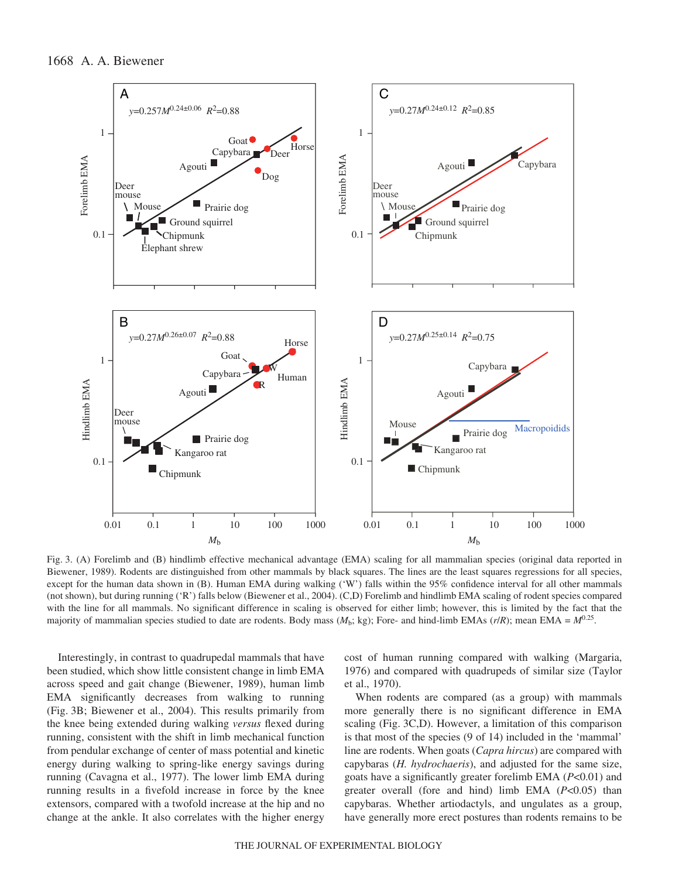

Fig. 3. (A) Forelimb and (B) hindlimb effective mechanical advantage (EMA) scaling for all mammalian species (original data reported in Biewener, 1989). Rodents are distinguished from other mammals by black squares. The lines are the least squares regressions for all species, except for the human data shown in (B). Human EMA during walking ('W') falls within the 95% confidence interval for all other mammals (not shown), but during running ('R') falls below (Biewener et al., 2004). (C,D) Forelimb and hindlimb EMA scaling of rodent species compared with the line for all mammals. No significant difference in scaling is observed for either limb; however, this is limited by the fact that the majority of mammalian species studied to date are rodents. Body mass  $(M_b; kg)$ ; Fore- and hind-limb EMAs  $(r/R)$ ; mean EMA =  $M^{0.25}$ .

Interestingly, in contrast to quadrupedal mammals that have been studied, which show little consistent change in limb EMA across speed and gait change (Biewener, 1989), human limb EMA significantly decreases from walking to running (Fig. 3B; Biewener et al., 2004). This results primarily from the knee being extended during walking *versus* flexed during running, consistent with the shift in limb mechanical function from pendular exchange of center of mass potential and kinetic energy during walking to spring-like energy savings during running (Cavagna et al., 1977). The lower limb EMA during running results in a fivefold increase in force by the knee extensors, compared with a twofold increase at the hip and no change at the ankle. It also correlates with the higher energy

cost of human running compared with walking (Margaria, 1976) and compared with quadrupeds of similar size (Taylor et al., 1970).

When rodents are compared (as a group) with mammals more generally there is no significant difference in EMA scaling (Fig. 3C,D). However, a limitation of this comparison is that most of the species (9 of 14) included in the 'mammal' line are rodents. When goats (*Capra hircus*) are compared with capybaras (*H. hydrochaeris*), and adjusted for the same size, goats have a significantly greater forelimb EMA (*P*<0.01) and greater overall (fore and hind) limb EMA (*P*<0.05) than capybaras. Whether artiodactyls, and ungulates as a group, have generally more erect postures than rodents remains to be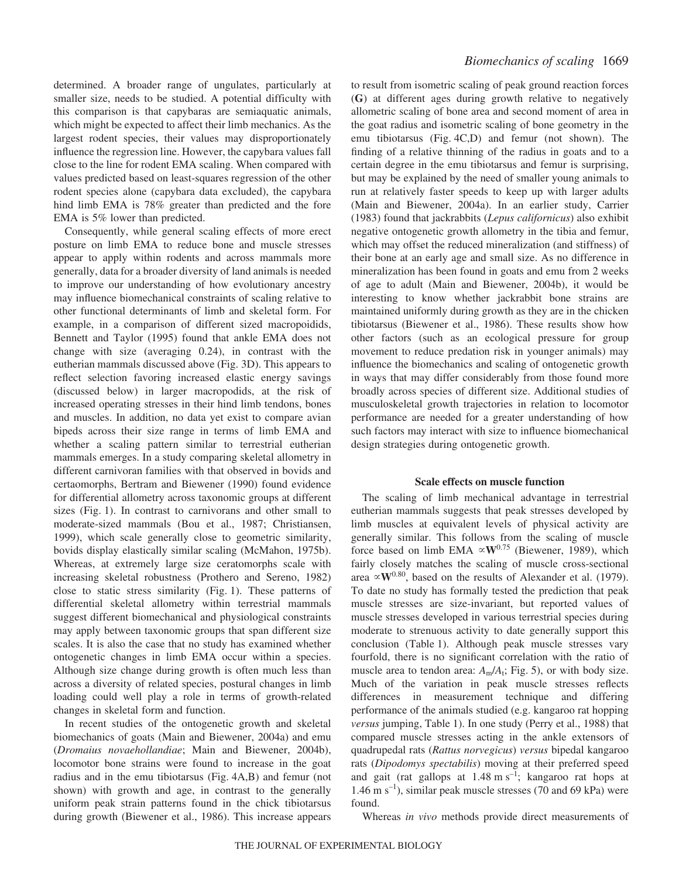determined. A broader range of ungulates, particularly at smaller size, needs to be studied. A potential difficulty with this comparison is that capybaras are semiaquatic animals, which might be expected to affect their limb mechanics. As the largest rodent species, their values may disproportionately influence the regression line. However, the capybara values fall close to the line for rodent EMA scaling. When compared with values predicted based on least-squares regression of the other rodent species alone (capybara data excluded), the capybara hind limb EMA is 78% greater than predicted and the fore EMA is 5% lower than predicted.

Consequently, while general scaling effects of more erect posture on limb EMA to reduce bone and muscle stresses appear to apply within rodents and across mammals more generally, data for a broader diversity of land animals is needed to improve our understanding of how evolutionary ancestry may influence biomechanical constraints of scaling relative to other functional determinants of limb and skeletal form. For example, in a comparison of different sized macropoidids, Bennett and Taylor (1995) found that ankle EMA does not change with size (averaging 0.24), in contrast with the eutherian mammals discussed above (Fig. 3D). This appears to reflect selection favoring increased elastic energy savings (discussed below) in larger macropodids, at the risk of increased operating stresses in their hind limb tendons, bones and muscles. In addition, no data yet exist to compare avian bipeds across their size range in terms of limb EMA and whether a scaling pattern similar to terrestrial eutherian mammals emerges. In a study comparing skeletal allometry in different carnivoran families with that observed in bovids and certaomorphs, Bertram and Biewener (1990) found evidence for differential allometry across taxonomic groups at different sizes (Fig. 1). In contrast to carnivorans and other small to moderate-sized mammals (Bou et al., 1987; Christiansen, 1999), which scale generally close to geometric similarity, bovids display elastically similar scaling (McMahon, 1975b). Whereas, at extremely large size ceratomorphs scale with increasing skeletal robustness (Prothero and Sereno, 1982) close to static stress similarity (Fig. 1). These patterns of differential skeletal allometry within terrestrial mammals suggest different biomechanical and physiological constraints may apply between taxonomic groups that span different size scales. It is also the case that no study has examined whether ontogenetic changes in limb EMA occur within a species. Although size change during growth is often much less than across a diversity of related species, postural changes in limb loading could well play a role in terms of growth-related changes in skeletal form and function.

In recent studies of the ontogenetic growth and skeletal biomechanics of goats (Main and Biewener, 2004a) and emu (*Dromaius novaehollandiae*; Main and Biewener, 2004b), locomotor bone strains were found to increase in the goat radius and in the emu tibiotarsus (Fig.  $4A,B$ ) and femur (not shown) with growth and age, in contrast to the generally uniform peak strain patterns found in the chick tibiotarsus during growth (Biewener et al., 1986). This increase appears

to result from isometric scaling of peak ground reaction forces (**G**) at different ages during growth relative to negatively allometric scaling of bone area and second moment of area in the goat radius and isometric scaling of bone geometry in the emu tibiotarsus (Fig.  $4C$ ,D) and femur (not shown). The finding of a relative thinning of the radius in goats and to a certain degree in the emu tibiotarsus and femur is surprising, but may be explained by the need of smaller young animals to run at relatively faster speeds to keep up with larger adults (Main and Biewener, 2004a). In an earlier study, Carrier (1983) found that jackrabbits (*Lepus californicus*) also exhibit negative ontogenetic growth allometry in the tibia and femur, which may offset the reduced mineralization (and stiffness) of their bone at an early age and small size. As no difference in mineralization has been found in goats and emu from 2 weeks of age to adult (Main and Biewener, 2004b), it would be interesting to know whether jackrabbit bone strains are maintained uniformly during growth as they are in the chicken tibiotarsus (Biewener et al., 1986). These results show how other factors (such as an ecological pressure for group movement to reduce predation risk in younger animals) may influence the biomechanics and scaling of ontogenetic growth in ways that may differ considerably from those found more broadly across species of different size. Additional studies of musculoskeletal growth trajectories in relation to locomotor performance are needed for a greater understanding of how such factors may interact with size to influence biomechanical design strategies during ontogenetic growth.

## **Scale effects on muscle function**

The scaling of limb mechanical advantage in terrestrial eutherian mammals suggests that peak stresses developed by limb muscles at equivalent levels of physical activity are generally similar. This follows from the scaling of muscle force based on limb EMA  $\propto$ **W**<sup>0.75</sup> (Biewener, 1989), which fairly closely matches the scaling of muscle cross-sectional area  $\propto$ **W**<sup>0.80</sup>, based on the results of Alexander et al. (1979). To date no study has formally tested the prediction that peak muscle stresses are size-invariant, but reported values of muscle stresses developed in various terrestrial species during moderate to strenuous activity to date generally support this conclusion (Table 1). Although peak muscle stresses vary fourfold, there is no significant correlation with the ratio of muscle area to tendon area:  $A_m/A_t$ ; Fig. 5), or with body size. Much of the variation in peak muscle stresses reflects differences in measurement technique and differing performance of the animals studied (e.g. kangaroo rat hopping *versus* jumping, Table 1). In one study (Perry et al., 1988) that compared muscle stresses acting in the ankle extensors of quadrupedal rats (*Rattus norvegicus*) *versus* bipedal kangaroo rats (*Dipodomys spectabilis*) moving at their preferred speed and gait (rat gallops at  $1.48 \text{ m s}^{-1}$ ; kangaroo rat hops at 1.46 m  $s^{-1}$ ), similar peak muscle stresses (70 and 69 kPa) were found.

Whereas *in vivo* methods provide direct measurements of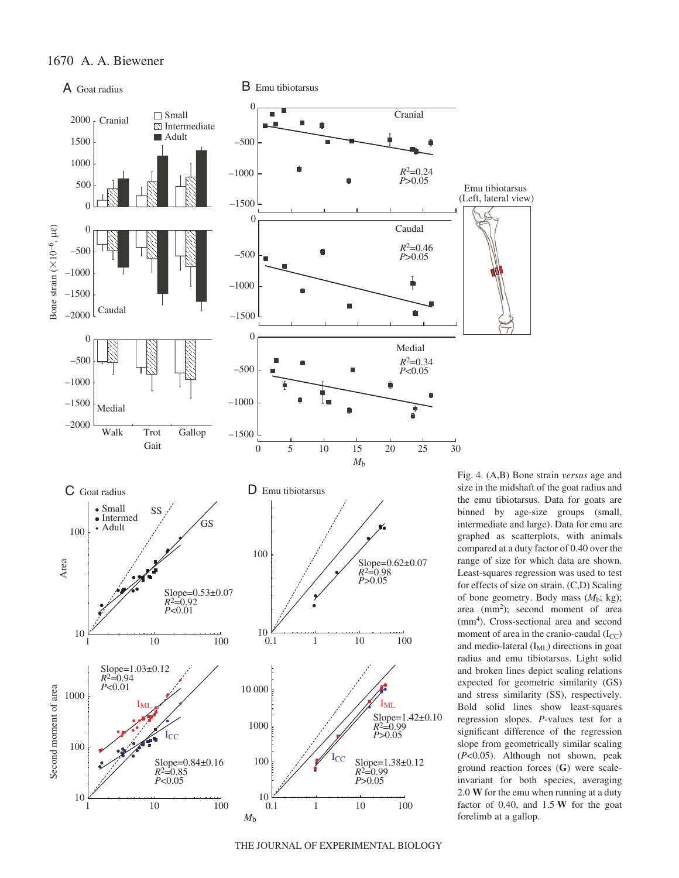

Fig. 4. (A,B) Bone strain *versus* age and size in the midshaft of the goat radius and the emu tibiotarsus. Data for goats are binned by age-size groups (small, intermediate and large). Data for emu are graphed as scatterplots, with animals compared at a duty factor of 0.40 over the range of size for which data are shown. Least-squares regression was used to test for effects of size on strain. (C,D) Scaling of bone geometry. Body mass  $(M_b; \text{kg})$ ; area (mm<sup>2</sup>); second moment of area (mm4 ). Cross-sectional area and second moment of area in the cranio-caudal  $(I_{CC})$ and medio-lateral  $(I_{ML})$  directions in goat radius and emu tibiotarsus. Light solid and broken lines depict scaling relations expected for geometric similarity (GS) and stress similarity (SS), respectively. Bold solid lines show least-squares regression slopes. *P*-values test for a significant difference of the regression slope from geometrically similar scaling (*P*<0.05). Although not shown, peak ground reaction forces (**G**) were scaleinvariant for both species, averaging 2.0 **W** for the emu when running at a duty factor of  $0.40$ , and  $1.5\,\text{W}$  for the goat forelimb at a gallop.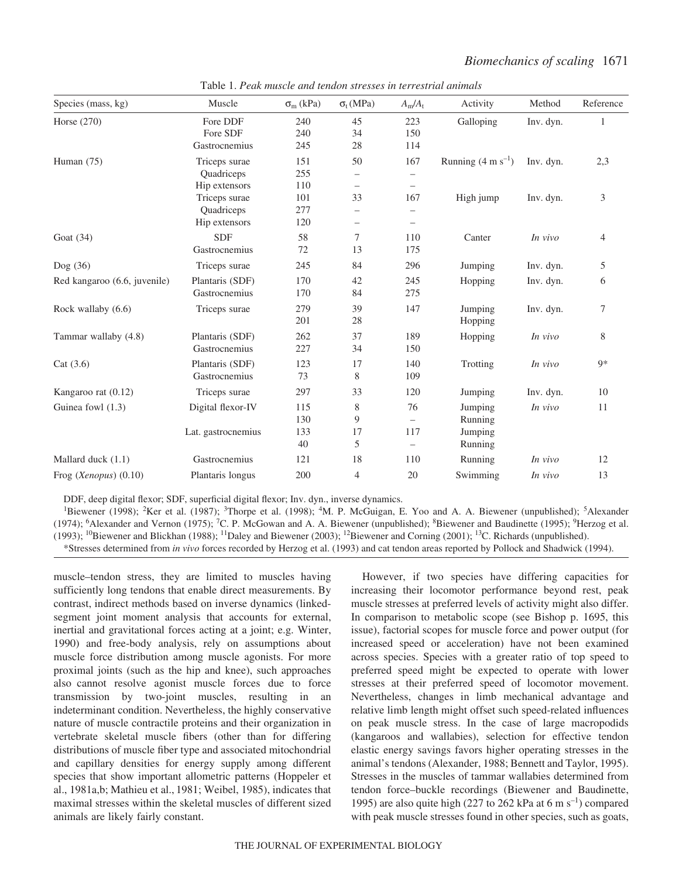| Species (mass, kg)           | Muscle             | $\sigma_{m}$ (kPa) | $\sigma_t(MPa)$          | $A_m/A_t$                | Activity                       | Method    | Reference      |
|------------------------------|--------------------|--------------------|--------------------------|--------------------------|--------------------------------|-----------|----------------|
| Horse (270)                  | Fore DDF           | 240                | 45                       | 223                      | Galloping                      | Inv. dyn. | 1              |
|                              | Fore SDF           | 240                | 34                       | 150                      |                                |           |                |
|                              | Gastrocnemius      | 245                | 28                       | 114                      |                                |           |                |
| Human $(75)$                 | Triceps surae      | 151                | 50                       | 167                      | Running $(4 \text{ m s}^{-1})$ | Inv. dyn. | 2,3            |
|                              | Quadriceps         | 255                | $\overline{\phantom{m}}$ | $\overline{\phantom{0}}$ |                                |           |                |
|                              | Hip extensors      | 110                | $\overline{\phantom{m}}$ | $\overline{\phantom{m}}$ |                                |           |                |
|                              | Triceps surae      | 101                | 33                       | 167                      | High jump                      | Inv. dyn. | $\mathfrak{Z}$ |
|                              | Quadriceps         | 277                | $\qquad \qquad$          | $\qquad \qquad -$        |                                |           |                |
|                              | Hip extensors      | 120                | $\overline{\phantom{m}}$ | $\overline{\phantom{0}}$ |                                |           |                |
| Goat $(34)$                  | <b>SDF</b>         | 58                 | 7                        | 110                      | Canter                         | In vivo   | $\overline{4}$ |
|                              | Gastrocnemius      | 72                 | 13                       | 175                      |                                |           |                |
| Dog (36)                     | Triceps surae      | 245                | 84                       | 296                      | Jumping                        | Inv. dyn. | 5              |
| Red kangaroo (6.6, juvenile) | Plantaris (SDF)    | 170                | 42                       | 245                      | Hopping                        | Inv. dyn. | 6              |
|                              | Gastrocnemius      | 170                | 84                       | 275                      |                                |           |                |
| Rock wallaby (6.6)           | Triceps surae      | 279                | 39                       | 147                      | Jumping                        | Inv. dyn. | $\tau$         |
|                              |                    | 201                | 28                       |                          | Hopping                        |           |                |
| Tammar wallaby (4.8)         | Plantaris (SDF)    | 262                | 37                       | 189                      | Hopping                        | In vivo   | 8              |
|                              | Gastrocnemius      | 227                | 34                       | 150                      |                                |           |                |
| Cat $(3.6)$                  | Plantaris (SDF)    | 123                | 17                       | 140                      | Trotting                       | In vivo   | $9*$           |
|                              | Gastrocnemius      | 73                 | 8                        | 109                      |                                |           |                |
| Kangaroo rat (0.12)          | Triceps surae      | 297                | 33                       | 120                      | Jumping                        | Inv. dyn. | 10             |
| Guinea fowl (1.3)            | Digital flexor-IV  | 115                | 8                        | 76                       | Jumping                        | In vivo   | 11             |
|                              |                    | 130                | 9                        |                          | Running                        |           |                |
|                              | Lat. gastrocnemius | 133                | 17                       | 117                      | Jumping                        |           |                |
|                              |                    | 40                 | 5                        | $\overline{\phantom{0}}$ | Running                        |           |                |
| Mallard duck $(1.1)$         | Gastrocnemius      | 121                | 18                       | 110                      | Running                        | In vivo   | 12             |
| Frog (Xenopus) (0.10)        | Plantaris longus   | 200                | $\overline{4}$           | 20                       | Swimming                       | In vivo   | 13             |

Table 1. *Peak muscle and tendon stresses in terrestrial animals* 

DDF, deep digital flexor; SDF, superficial digital flexor; Inv. dyn., inverse dynamics.

<sup>1</sup>Biewener (1998); <sup>2</sup>Ker et al. (1987); <sup>3</sup>Thorpe et al. (1998); <sup>4</sup>M. P. McGuigan, E. Yoo and A. A. Biewener (unpublished); <sup>5</sup>Alexander (1974); <sup>6</sup>Alexander and Vernon (1975); <sup>7</sup>C. P. McGowan and A. A. Biewener (unpublished); <sup>8</sup>Biewener and Baudinette (1995); <sup>9</sup>Herzog et al. (1993); <sup>10</sup>Biewener and Blickhan (1988); <sup>11</sup>Daley and Biewener (2003); <sup>12</sup>Biewener and Corning (2001); <sup>13</sup>C. Richards (unpublished). \*Stresses determined from *in vivo* forces recorded by Herzog et al. (1993) and cat tendon areas reported by Pollock and Shadwick (1994).

muscle–tendon stress, they are limited to muscles having sufficiently long tendons that enable direct measurements. By contrast, indirect methods based on inverse dynamics (linkedsegment joint moment analysis that accounts for external, inertial and gravitational forces acting at a joint; e.g. Winter, 1990) and free-body analysis, rely on assumptions about muscle force distribution among muscle agonists. For more proximal joints (such as the hip and knee), such approaches also cannot resolve agonist muscle forces due to force transmission by two-joint muscles, resulting in an indeterminant condition. Nevertheless, the highly conservative nature of muscle contractile proteins and their organization in vertebrate skeletal muscle fibers (other than for differing distributions of muscle fiber type and associated mitochondrial and capillary densities for energy supply among different species that show important allometric patterns (Hoppeler et al., 1981a,b; Mathieu et al., 1981; Weibel, 1985), indicates that maximal stresses within the skeletal muscles of different sized animals are likely fairly constant.

However, if two species have differing capacities for increasing their locomotor performance beyond rest, peak muscle stresses at preferred levels of activity might also differ. In comparison to metabolic scope (see Bishop p. 1695, this issue), factorial scopes for muscle force and power output (for increased speed or acceleration) have not been examined across species. Species with a greater ratio of top speed to preferred speed might be expected to operate with lower stresses at their preferred speed of locomotor movement. Nevertheless, changes in limb mechanical advantage and relative limb length might offset such speed-related influences on peak muscle stress. In the case of large macropodids (kangaroos and wallabies), selection for effective tendon elastic energy savings favors higher operating stresses in the animal's tendons (Alexander, 1988; Bennett and Taylor, 1995). Stresses in the muscles of tammar wallabies determined from tendon force–buckle recordings (Biewener and Baudinette, 1995) are also quite high (227 to 262 kPa at 6 m s<sup>-1</sup>) compared with peak muscle stresses found in other species, such as goats,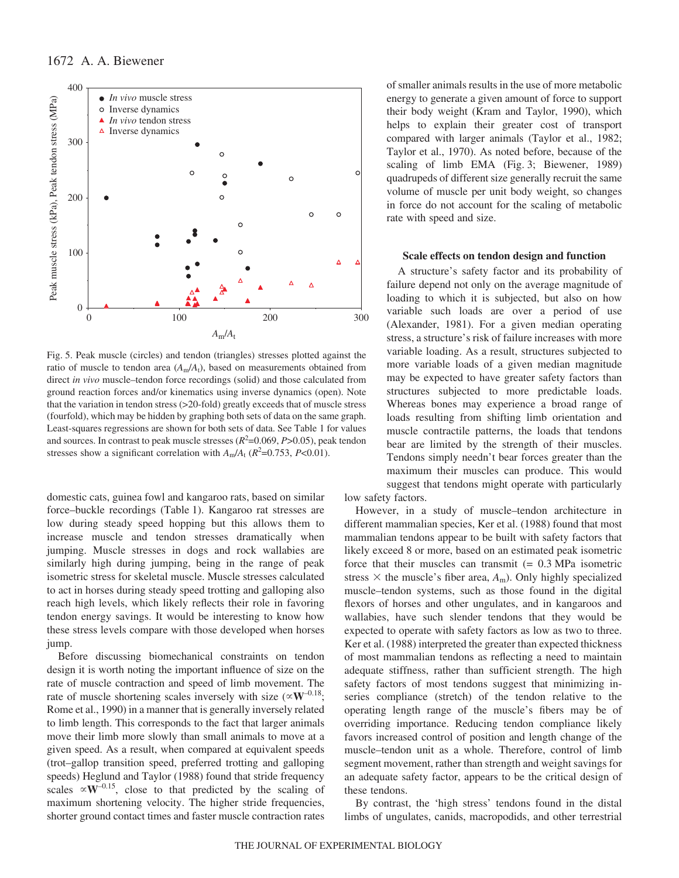

Fig. 5. Peak muscle (circles) and tendon (triangles) stresses plotted against the ratio of muscle to tendon area  $(A_m/A_t)$ , based on measurements obtained from direct *in vivo* muscle–tendon force recordings (solid) and those calculated from ground reaction forces and/or kinematics using inverse dynamics (open). Note that the variation in tendon stress (>20-fold) greatly exceeds that of muscle stress (fourfold), which may be hidden by graphing both sets of data on the same graph. Least-squares regressions are shown for both sets of data. See Table 1 for values and sources. In contrast to peak muscle stresses  $(R^2=0.069, P>0.05)$ , peak tendon stresses show a significant correlation with  $A_m/A_t$  ( $R^2$ =0.753,  $P$ <0.01).

domestic cats, guinea fowl and kangaroo rats, based on similar force–buckle recordings (Table·1). Kangaroo rat stresses are low during steady speed hopping but this allows them to increase muscle and tendon stresses dramatically when jumping. Muscle stresses in dogs and rock wallabies are similarly high during jumping, being in the range of peak isometric stress for skeletal muscle. Muscle stresses calculated to act in horses during steady speed trotting and galloping also reach high levels, which likely reflects their role in favoring tendon energy savings. It would be interesting to know how these stress levels compare with those developed when horses jump.

Before discussing biomechanical constraints on tendon design it is worth noting the important influence of size on the rate of muscle contraction and speed of limb movement. The rate of muscle shortening scales inversely with size  $(\propto W^{-0.18})$ ; Rome et al., 1990) in a manner that is generally inversely related to limb length. This corresponds to the fact that larger animals move their limb more slowly than small animals to move at a given speed. As a result, when compared at equivalent speeds (trot–gallop transition speed, preferred trotting and galloping speeds) Heglund and Taylor (1988) found that stride frequency scales  $\propto$ **W**<sup>-0.15</sup>, close to that predicted by the scaling of maximum shortening velocity. The higher stride frequencies, shorter ground contact times and faster muscle contraction rates

of smaller animals results in the use of more metabolic energy to generate a given amount of force to support their body weight (Kram and Taylor, 1990), which helps to explain their greater cost of transport compared with larger animals (Taylor et al., 1982; Taylor et al., 1970). As noted before, because of the scaling of limb EMA (Fig. 3; Biewener, 1989) quadrupeds of different size generally recruit the same volume of muscle per unit body weight, so changes in force do not account for the scaling of metabolic rate with speed and size.

### **Scale effects on tendon design and function**

A structure's safety factor and its probability of failure depend not only on the average magnitude of loading to which it is subjected, but also on how variable such loads are over a period of use (Alexander, 1981). For a given median operating stress, a structure's risk of failure increases with more variable loading. As a result, structures subjected to more variable loads of a given median magnitude may be expected to have greater safety factors than structures subjected to more predictable loads. Whereas bones may experience a broad range of loads resulting from shifting limb orientation and muscle contractile patterns, the loads that tendons bear are limited by the strength of their muscles. Tendons simply needn't bear forces greater than the maximum their muscles can produce. This would suggest that tendons might operate with particularly

low safety factors.

However, in a study of muscle–tendon architecture in different mammalian species, Ker et al. (1988) found that most mammalian tendons appear to be built with safety factors that likely exceed 8 or more, based on an estimated peak isometric force that their muscles can transmit  $(= 0.3 \text{ MPa}$  isometric stress  $\times$  the muscle's fiber area,  $A_m$ ). Only highly specialized muscle–tendon systems, such as those found in the digital flexors of horses and other ungulates, and in kangaroos and wallabies, have such slender tendons that they would be expected to operate with safety factors as low as two to three. Ker et al. (1988) interpreted the greater than expected thickness of most mammalian tendons as reflecting a need to maintain adequate stiffness, rather than sufficient strength. The high safety factors of most tendons suggest that minimizing inseries compliance (stretch) of the tendon relative to the operating length range of the muscle's fibers may be of overriding importance. Reducing tendon compliance likely favors increased control of position and length change of the muscle–tendon unit as a whole. Therefore, control of limb segment movement, rather than strength and weight savings for an adequate safety factor, appears to be the critical design of these tendons.

By contrast, the 'high stress' tendons found in the distal limbs of ungulates, canids, macropodids, and other terrestrial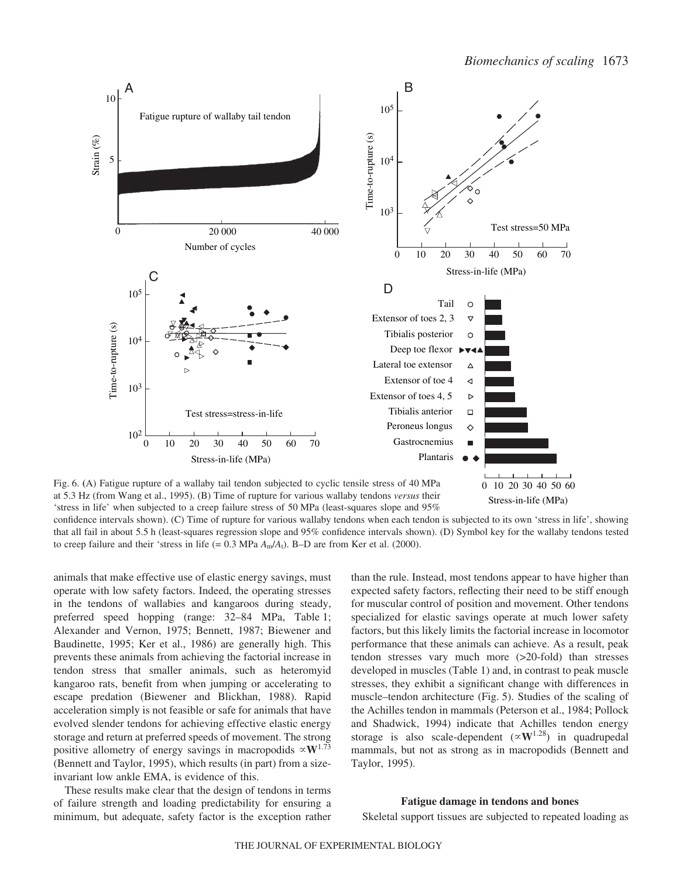

Stress-in-life (MPa)

at 5.3·Hz (from Wang et al., 1995). (B) Time of rupture for various wallaby tendons *versus* their 'stress in life' when subjected to a creep failure stress of 50 MPa (least-squares slope and  $95\%$ )

confidence intervals shown). (C) Time of rupture for various wallaby tendons when each tendon is subjected to its own 'stress in life', showing that all fail in about 5.5·h (least-squares regression slope and 95% confidence intervals shown). (D) Symbol key for the wallaby tendons tested to creep failure and their 'stress in life (=  $0.3$  MPa  $A_m/A_l$ ). B–D are from Ker et al. (2000).

animals that make effective use of elastic energy savings, must operate with low safety factors. Indeed, the operating stresses in the tendons of wallabies and kangaroos during steady, preferred speed hopping (range: 32–84 MPa, Table 1; Alexander and Vernon, 1975; Bennett, 1987; Biewener and Baudinette, 1995; Ker et al., 1986) are generally high. This prevents these animals from achieving the factorial increase in tendon stress that smaller animals, such as heteromyid kangaroo rats, benefit from when jumping or accelerating to escape predation (Biewener and Blickhan, 1988). Rapid acceleration simply is not feasible or safe for animals that have evolved slender tendons for achieving effective elastic energy storage and return at preferred speeds of movement. The strong positive allometry of energy savings in macropodids  $\propto$ **W**<sup>1.73</sup> (Bennett and Taylor, 1995), which results (in part) from a sizeinvariant low ankle EMA, is evidence of this.

These results make clear that the design of tendons in terms of failure strength and loading predictability for ensuring a minimum, but adequate, safety factor is the exception rather than the rule. Instead, most tendons appear to have higher than expected safety factors, reflecting their need to be stiff enough for muscular control of position and movement. Other tendons specialized for elastic savings operate at much lower safety factors, but this likely limits the factorial increase in locomotor performance that these animals can achieve. As a result, peak tendon stresses vary much more (>20-fold) than stresses developed in muscles (Table 1) and, in contrast to peak muscle stresses, they exhibit a significant change with differences in muscle–tendon architecture (Fig. 5). Studies of the scaling of the Achilles tendon in mammals (Peterson et al., 1984; Pollock and Shadwick, 1994) indicate that Achilles tendon energy storage is also scale-dependent  $(\propto W^{1.28})$  in quadrupedal mammals, but not as strong as in macropodids (Bennett and Taylor, 1995).

### **Fatigue damage in tendons and bones**

Skeletal support tissues are subjected to repeated loading as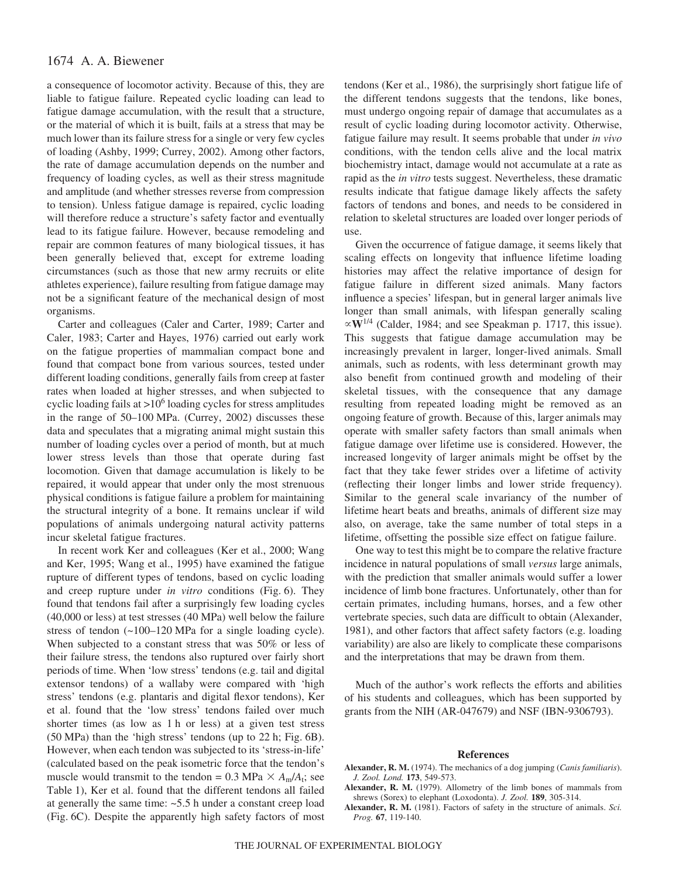## 1674 A. A. Biewener

a consequence of locomotor activity. Because of this, they are liable to fatigue failure. Repeated cyclic loading can lead to fatigue damage accumulation, with the result that a structure, or the material of which it is built, fails at a stress that may be much lower than its failure stress for a single or very few cycles of loading (Ashby, 1999; Currey, 2002). Among other factors, the rate of damage accumulation depends on the number and frequency of loading cycles, as well as their stress magnitude and amplitude (and whether stresses reverse from compression to tension). Unless fatigue damage is repaired, cyclic loading will therefore reduce a structure's safety factor and eventually lead to its fatigue failure. However, because remodeling and repair are common features of many biological tissues, it has been generally believed that, except for extreme loading circumstances (such as those that new army recruits or elite athletes experience), failure resulting from fatigue damage may not be a significant feature of the mechanical design of most organisms.

Carter and colleagues (Caler and Carter, 1989; Carter and Caler, 1983; Carter and Hayes, 1976) carried out early work on the fatigue properties of mammalian compact bone and found that compact bone from various sources, tested under different loading conditions, generally fails from creep at faster rates when loaded at higher stresses, and when subjected to cyclic loading fails at  $>10^6$  loading cycles for stress amplitudes in the range of  $50-100$  MPa. (Currey, 2002) discusses these data and speculates that a migrating animal might sustain this number of loading cycles over a period of month, but at much lower stress levels than those that operate during fast locomotion. Given that damage accumulation is likely to be repaired, it would appear that under only the most strenuous physical conditions is fatigue failure a problem for maintaining the structural integrity of a bone. It remains unclear if wild populations of animals undergoing natural activity patterns incur skeletal fatigue fractures.

In recent work Ker and colleagues (Ker et al., 2000; Wang and Ker, 1995; Wang et al., 1995) have examined the fatigue rupture of different types of tendons, based on cyclic loading and creep rupture under *in vitro* conditions (Fig. 6). They found that tendons fail after a surprisingly few loading cycles  $(40,000 \text{ or } \text{less})$  at test stresses  $(40 \text{ MPa})$  well below the failure stress of tendon  $(~100–120$  MPa for a single loading cycle). When subjected to a constant stress that was 50% or less of their failure stress, the tendons also ruptured over fairly short periods of time. When 'low stress' tendons (e.g. tail and digital extensor tendons) of a wallaby were compared with 'high stress' tendons (e.g. plantaris and digital flexor tendons), Ker et al. found that the 'low stress' tendons failed over much shorter times (as low as  $1 h$  or less) at a given test stress  $(50 MPa)$  than the 'high stress' tendons (up to 22 h; Fig. 6B). However, when each tendon was subjected to its 'stress-in-life' (calculated based on the peak isometric force that the tendon's muscle would transmit to the tendon =  $0.3 \text{ MPa} \times A_{\text{m}}/A_t$ ; see Table 1), Ker et al. found that the different tendons all failed at generally the same time:  $\sim$  5.5 h under a constant creep load (Fig. 6C). Despite the apparently high safety factors of most

tendons (Ker et al., 1986), the surprisingly short fatigue life of the different tendons suggests that the tendons, like bones, must undergo ongoing repair of damage that accumulates as a result of cyclic loading during locomotor activity. Otherwise, fatigue failure may result. It seems probable that under *in vivo* conditions, with the tendon cells alive and the local matrix biochemistry intact, damage would not accumulate at a rate as rapid as the *in vitro* tests suggest. Nevertheless, these dramatic results indicate that fatigue damage likely affects the safety factors of tendons and bones, and needs to be considered in relation to skeletal structures are loaded over longer periods of use.

Given the occurrence of fatigue damage, it seems likely that scaling effects on longevity that influence lifetime loading histories may affect the relative importance of design for fatigue failure in different sized animals. Many factors influence a species' lifespan, but in general larger animals live longer than small animals, with lifespan generally scaling  $\propto$ **W**<sup>1/4</sup> (Calder, 1984; and see Speakman p. 1717, this issue). This suggests that fatigue damage accumulation may be increasingly prevalent in larger, longer-lived animals. Small animals, such as rodents, with less determinant growth may also benefit from continued growth and modeling of their skeletal tissues, with the consequence that any damage resulting from repeated loading might be removed as an ongoing feature of growth. Because of this, larger animals may operate with smaller safety factors than small animals when fatigue damage over lifetime use is considered. However, the increased longevity of larger animals might be offset by the fact that they take fewer strides over a lifetime of activity (reflecting their longer limbs and lower stride frequency). Similar to the general scale invariancy of the number of lifetime heart beats and breaths, animals of different size may also, on average, take the same number of total steps in a lifetime, offsetting the possible size effect on fatigue failure.

One way to test this might be to compare the relative fracture incidence in natural populations of small *versus* large animals, with the prediction that smaller animals would suffer a lower incidence of limb bone fractures. Unfortunately, other than for certain primates, including humans, horses, and a few other vertebrate species, such data are difficult to obtain (Alexander, 1981), and other factors that affect safety factors (e.g. loading variability) are also are likely to complicate these comparisons and the interpretations that may be drawn from them.

Much of the author's work reflects the efforts and abilities of his students and colleagues, which has been supported by grants from the NIH (AR-047679) and NSF (IBN-9306793).

#### **References**

- **Alexander, R. M.** (1974). The mechanics of a dog jumping (*Canis familiaris*). *J. Zool. Lond.* **173**, 549-573.
- **Alexander, R. M.** (1979). Allometry of the limb bones of mammals from shrews (Sorex) to elephant (Loxodonta). *J. Zool.* **189**, 305-314.
- **Alexander, R. M.** (1981). Factors of safety in the structure of animals. *Sci. Prog.* **67**, 119-140.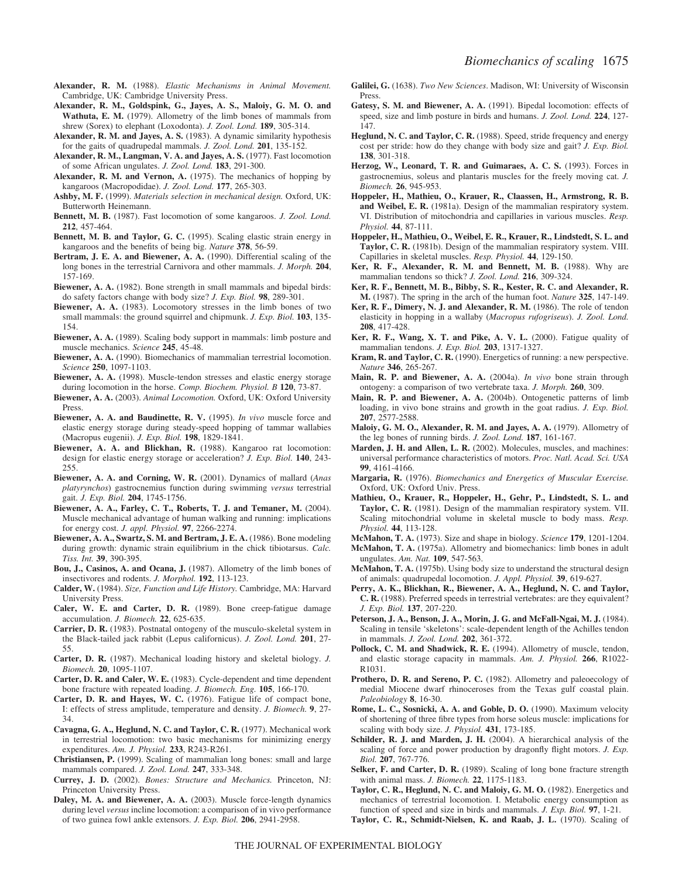- **Alexander, R. M.** (1988). *Elastic Mechanisms in Animal Movement.* Cambridge, UK: Cambridge University Press.
- **Alexander, R. M., Goldspink, G., Jayes, A. S., Maloiy, G. M. O. and Wathuta, E. M.** (1979). Allometry of the limb bones of mammals from shrew (Sorex) to elephant (Loxodonta). *J. Zool. Lond.* **189**, 305-314.
- **Alexander, R. M. and Jayes, A. S.** (1983). A dynamic similarity hypothesis for the gaits of quadrupedal mammals. *J. Zool. Lond.* **201**, 135-152.
- **Alexander, R. M., Langman, V. A. and Jayes, A. S.** (1977). Fast locomotion of some African ungulates. *J. Zool. Lond.* **183**, 291-300.
- **Alexander, R. M. and Vernon, A.** (1975). The mechanics of hopping by kangaroos (Macropodidae). *J. Zool. Lond.* **177**, 265-303.
- **Ashby, M. F.** (1999). *Materials selection in mechanical design.* Oxford, UK: Butterworth Heinemann.
- **Bennett, M. B.** (1987). Fast locomotion of some kangaroos. *J. Zool. Lond.* **212**, 457-464.
- **Bennett, M. B. and Taylor, G. C.** (1995). Scaling elastic strain energy in kangaroos and the benefits of being big. *Nature* **378**, 56-59.
- **Bertram, J. E. A. and Biewener, A. A.** (1990). Differential scaling of the long bones in the terrestrial Carnivora and other mammals. *J. Morph.* **204**, 157-169.
- **Biewener, A. A.** (1982). Bone strength in small mammals and bipedal birds: do safety factors change with body size? *J. Exp. Biol.* **98**, 289-301.
- **Biewener, A. A.** (1983). Locomotory stresses in the limb bones of two small mammals: the ground squirrel and chipmunk. *J. Exp. Biol.* **103**, 135- 154.
- **Biewener, A. A.** (1989). Scaling body support in mammals: limb posture and muscle mechanics. *Science* **245**, 45-48.
- **Biewener, A. A.** (1990). Biomechanics of mammalian terrestrial locomotion. *Science* **250**, 1097-1103.
- **Biewener, A. A.** (1998). Muscle-tendon stresses and elastic energy storage during locomotion in the horse. *Comp. Biochem. Physiol. B* **120**, 73-87.
- **Biewener, A. A.** (2003). *Animal Locomotion.* Oxford, UK: Oxford University Press.
- **Biewener, A. A. and Baudinette, R. V.** (1995). *In vivo* muscle force and elastic energy storage during steady-speed hopping of tammar wallabies (Macropus eugenii). *J. Exp. Biol.* **198**, 1829-1841.
- **Biewener, A. A. and Blickhan, R.** (1988). Kangaroo rat locomotion: design for elastic energy storage or acceleration? *J. Exp. Biol.* **140**, 243- 255.
- **Biewener, A. A. and Corning, W. R.** (2001). Dynamics of mallard (*Anas platyrynchos*) gastrocnemius function during swimming *versus* terrestrial gait. *J. Exp. Biol.* **204**, 1745-1756.
- **Biewener, A. A., Farley, C. T., Roberts, T. J. and Temaner, M.** (2004). Muscle mechanical advantage of human walking and running: implications for energy cost. *J. appl. Physiol.* **97**, 2266-2274.
- **Biewener, A. A., Swartz, S. M. and Bertram, J. E. A.** (1986). Bone modeling during growth: dynamic strain equilibrium in the chick tibiotarsus. *Calc. Tiss. Int.* **39**, 390-395.
- **Bou, J., Casinos, A. and Ocana, J.** (1987). Allometry of the limb bones of insectivores and rodents. *J. Morphol.* **192**, 113-123.
- **Calder, W.** (1984). *Size, Function and Life History.* Cambridge, MA: Harvard University Press.
- **Caler, W. E. and Carter, D. R.** (1989). Bone creep-fatigue damage accumulation. *J. Biomech.* **22**, 625-635.
- **Carrier, D. R.** (1983). Postnatal ontogeny of the musculo-skeletal system in the Black-tailed jack rabbit (Lepus californicus). *J. Zool. Lond.* **201**, 27- 55.
- **Carter, D. R.** (1987). Mechanical loading history and skeletal biology. *J. Biomech.* **20**, 1095-1107.
- **Carter, D. R. and Caler, W. E.** (1983). Cycle-dependent and time dependent bone fracture with repeated loading. *J. Biomech. Eng.* **105**, 166-170.
- **Carter, D. R. and Hayes, W. C.** (1976). Fatigue life of compact bone, I: effects of stress amplitude, temperature and density. *J. Biomech.* **9**, 27- 34.
- **Cavagna, G. A., Heglund, N. C. and Taylor, C. R.** (1977). Mechanical work in terrestrial locomotion: two basic mechanisms for minimizing energy expenditures. *Am. J. Physiol.* **233**, R243-R261.
- **Christiansen, P.** (1999). Scaling of mammalian long bones: small and large mammals compared. *J. Zool. Lond.* **247**, 333-348.
- **Currey, J. D.** (2002). *Bones: Structure and Mechanics.* Princeton, NJ: Princeton University Press.
- **Daley, M. A. and Biewener, A. A.** (2003). Muscle force-length dynamics during level *versus* incline locomotion: a comparison of in vivo performance of two guinea fowl ankle extensors. *J. Exp. Biol.* **206**, 2941-2958.
- **Galilei, G.** (1638). *Two New Sciences*. Madison, WI: University of Wisconsin Press.
- **Gatesy, S. M. and Biewener, A. A.** (1991). Bipedal locomotion: effects of speed, size and limb posture in birds and humans. *J. Zool. Lond.* **224**, 127- 147.
- **Heglund, N. C. and Taylor, C. R.** (1988). Speed, stride frequency and energy cost per stride: how do they change with body size and gait? *J. Exp. Biol.* **138**, 301-318.
- **Herzog, W., Leonard, T. R. and Guimaraes, A. C. S.** (1993). Forces in gastrocnemius, soleus and plantaris muscles for the freely moving cat. *J. Biomech.* **26**, 945-953.
- **Hoppeler, H., Mathieu, O., Krauer, R., Claassen, H., Armstrong, R. B. and Weibel, E. R.** (1981a). Design of the mammalian respiratory system. VI. Distribution of mitochondria and capillaries in various muscles. *Resp. Physiol.* **44**, 87-111.
- **Hoppeler, H., Mathieu, O., Weibel, E. R., Krauer, R., Lindstedt, S. L. and Taylor, C. R.** (1981b). Design of the mammalian respiratory system. VIII. Capillaries in skeletal muscles. *Resp. Physiol.* **44**, 129-150.
- **Ker, R. F., Alexander, R. M. and Bennett, M. B.** (1988). Why are mammalian tendons so thick? *J. Zool. Lond.* **216**, 309-324.
- **Ker, R. F., Bennett, M. B., Bibby, S. R., Kester, R. C. and Alexander, R. M.** (1987). The spring in the arch of the human foot. *Nature* **325**, 147-149.
- **Ker, R. F., Dimery, N. J. and Alexander, R. M.** (1986). The role of tendon elasticity in hopping in a wallaby (*Macropus rufogriseus*). *J. Zool. Lond.* **208**, 417-428.
- **Ker, R. F., Wang, X. T. and Pike, A. V. L.** (2000). Fatigue quality of mammalian tendons. *J. Exp. Biol.* **203**, 1317-1327.
- **Kram, R. and Taylor, C. R.** (1990). Energetics of running: a new perspective. *Nature* **346**, 265-267.
- **Main, R. P. and Biewener, A. A.** (2004a). *In vivo* bone strain through ontogeny: a comparison of two vertebrate taxa. *J. Morph.* **260**, 309.
- **Main, R. P. and Biewener, A. A.** (2004b). Ontogenetic patterns of limb loading, in vivo bone strains and growth in the goat radius. *J. Exp. Biol.* **207**, 2577-2588.
- **Maloiy, G. M. O., Alexander, R. M. and Jayes, A. A.** (1979). Allometry of the leg bones of running birds. *J. Zool. Lond.* **187**, 161-167.
- **Marden, J. H. and Allen, L. R.** (2002). Molecules, muscles, and machines: universal performance characteristics of motors. *Proc. Natl. Acad. Sci. USA* **99**, 4161-4166.
- **Margaria, R.** (1976). *Biomechanics and Energetics of Muscular Exercise.* Oxford, UK: Oxford Univ. Press.
- **Mathieu, O., Krauer, R., Hoppeler, H., Gehr, P., Lindstedt, S. L. and Taylor, C. R.** (1981). Design of the mammalian respiratory system. VII. Scaling mitochondrial volume in skeletal muscle to body mass. *Resp. Physiol.* **44**, 113-128.
- **McMahon, T. A.** (1973). Size and shape in biology. *Science* **179**, 1201-1204.
- **McMahon, T. A.** (1975a). Allometry and biomechanics: limb bones in adult ungulates. *Am. Nat.* **109**, 547-563.
- **McMahon, T. A.** (1975b). Using body size to understand the structural design of animals: quadrupedal locomotion. *J. Appl. Physiol.* **39**, 619-627.
- **Perry, A. K., Blickhan, R., Biewener, A. A., Heglund, N. C. and Taylor, C. R.** (1988). Preferred speeds in terrestrial vertebrates: are they equivalent? *J. Exp. Biol.* **137**, 207-220.
- **Peterson, J. A., Benson, J. A., Morin, J. G. and McFall-Ngai, M. J.** (1984). Scaling in tensile 'skeletons': scale-dependent length of the Achilles tendon in mammals. *J. Zool. Lond.* **202**, 361-372.
- Pollock, C. M. and Shadwick, R. E. (1994). Allometry of muscle, tendon, and elastic storage capacity in mammals. *Am. J. Physiol.* **266**, R1022- R1031.
- **Prothero, D. R. and Sereno, P. C.** (1982). Allometry and paleoecology of medial Miocene dwarf rhinoceroses from the Texas gulf coastal plain. *Paleobiology* **8**, 16-30.
- **Rome, L. C., Sosnicki, A. A. and Goble, D. O.** (1990). Maximum velocity of shortening of three fibre types from horse soleus muscle: implications for scaling with body size. *J. Physiol.* **431**, 173-185.
- **Schilder, R. J. and Marden, J. H.** (2004). A hierarchical analysis of the scaling of force and power production by dragonfly flight motors. *J. Exp. Biol.* **207**, 767-776.
- **Selker, F. and Carter, D. R.** (1989). Scaling of long bone fracture strength with animal mass. *J. Biomech.* **22**, 1175-1183.
- **Taylor, C. R., Heglund, N. C. and Maloiy, G. M. O.** (1982). Energetics and mechanics of terrestrial locomotion. I. Metabolic energy consumption as function of speed and size in birds and mammals. *J. Exp. Biol.* **97**, 1-21.
- **Taylor, C. R., Schmidt-Nielsen, K. and Raab, J. L.** (1970). Scaling of